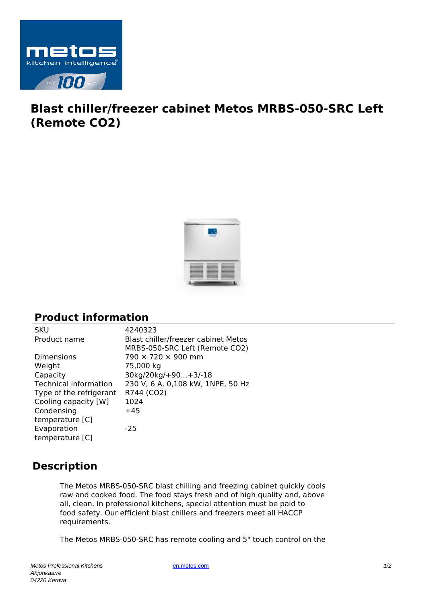

## **Blast chiller/freezer cabinet Metos MRBS-050-SRC Left (Remote CO2)**



## **Product information**

| <b>SKU</b>                   | 4240323                             |
|------------------------------|-------------------------------------|
| Product name                 | Blast chiller/freezer cabinet Metos |
|                              | MRBS-050-SRC Left (Remote CO2)      |
| <b>Dimensions</b>            | $790 \times 720 \times 900$ mm      |
| Weight                       | 75,000 kg                           |
| Capacity                     | 30kg/20kg/+90+3/-18                 |
| <b>Technical information</b> | 230 V, 6 A, 0,108 kW, 1NPE, 50 Hz   |
| Type of the refrigerant      | R744 (CO2)                          |
| Cooling capacity [W]         | 1024                                |
| Condensing                   | $+45$                               |
| temperature [C]              |                                     |
| Evaporation                  | $-25$                               |
| temperature [C]              |                                     |

## **Description**

The Metos MRBS-050-SRC blast chilling and freezing cabinet quickly cools raw and cooked food. The food stays fresh and of high quality and, above all, clean. In professional kitchens, special attention must be paid to food safety. Our efficient blast chillers and freezers meet all HACCP requirements.

The Metos MRBS-050-SRC has remote cooling and 5" touch control on the